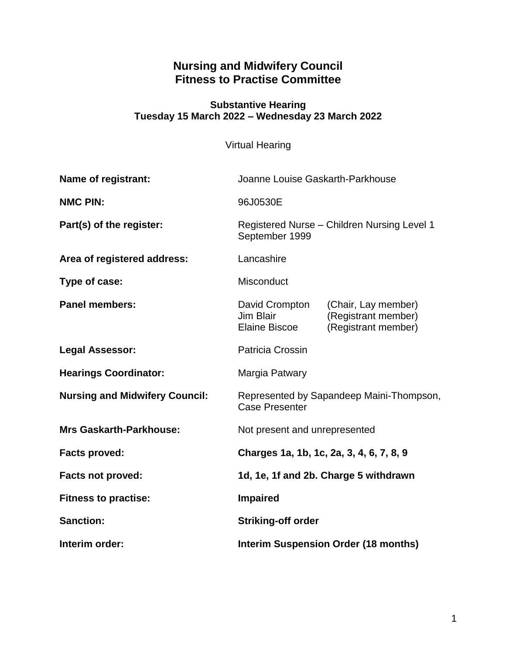# **Nursing and Midwifery Council Fitness to Practise Committee**

#### **Substantive Hearing Tuesday 15 March 2022 – Wednesday 23 March 2022**

Virtual Hearing

| Name of registrant:                   | Joanne Louise Gaskarth-Parkhouse                                  |                                                                   |
|---------------------------------------|-------------------------------------------------------------------|-------------------------------------------------------------------|
| <b>NMC PIN:</b>                       | 96J0530E                                                          |                                                                   |
| Part(s) of the register:              | Registered Nurse - Children Nursing Level 1<br>September 1999     |                                                                   |
| Area of registered address:           | Lancashire                                                        |                                                                   |
| Type of case:                         | <b>Misconduct</b>                                                 |                                                                   |
| <b>Panel members:</b>                 | David Crompton<br>Jim Blair<br>Elaine Biscoe                      | (Chair, Lay member)<br>(Registrant member)<br>(Registrant member) |
| <b>Legal Assessor:</b>                | Patricia Crossin                                                  |                                                                   |
| <b>Hearings Coordinator:</b>          | Margia Patwary                                                    |                                                                   |
| <b>Nursing and Midwifery Council:</b> | Represented by Sapandeep Maini-Thompson,<br><b>Case Presenter</b> |                                                                   |
| <b>Mrs Gaskarth-Parkhouse:</b>        | Not present and unrepresented                                     |                                                                   |
| <b>Facts proved:</b>                  | Charges 1a, 1b, 1c, 2a, 3, 4, 6, 7, 8, 9                          |                                                                   |
| <b>Facts not proved:</b>              | 1d, 1e, 1f and 2b. Charge 5 withdrawn                             |                                                                   |
| <b>Fitness to practise:</b>           | <b>Impaired</b>                                                   |                                                                   |
| <b>Sanction:</b>                      | <b>Striking-off order</b>                                         |                                                                   |
| Interim order:                        | <b>Interim Suspension Order (18 months)</b>                       |                                                                   |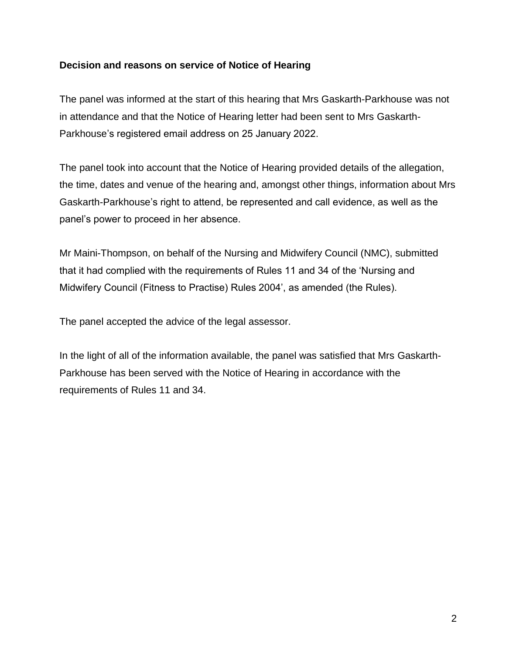#### **Decision and reasons on service of Notice of Hearing**

The panel was informed at the start of this hearing that Mrs Gaskarth-Parkhouse was not in attendance and that the Notice of Hearing letter had been sent to Mrs Gaskarth-Parkhouse's registered email address on 25 January 2022.

The panel took into account that the Notice of Hearing provided details of the allegation, the time, dates and venue of the hearing and, amongst other things, information about Mrs Gaskarth-Parkhouse's right to attend, be represented and call evidence, as well as the panel's power to proceed in her absence.

Mr Maini-Thompson, on behalf of the Nursing and Midwifery Council (NMC), submitted that it had complied with the requirements of Rules 11 and 34 of the 'Nursing and Midwifery Council (Fitness to Practise) Rules 2004', as amended (the Rules).

The panel accepted the advice of the legal assessor.

In the light of all of the information available, the panel was satisfied that Mrs Gaskarth-Parkhouse has been served with the Notice of Hearing in accordance with the requirements of Rules 11 and 34.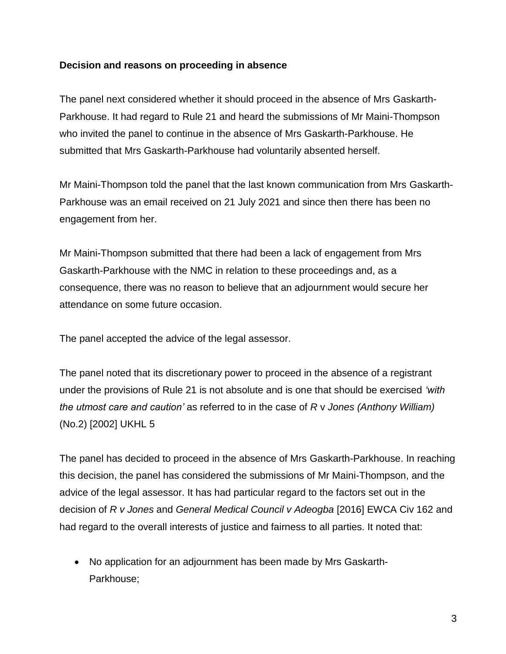#### **Decision and reasons on proceeding in absence**

The panel next considered whether it should proceed in the absence of Mrs Gaskarth-Parkhouse. It had regard to Rule 21 and heard the submissions of Mr Maini-Thompson who invited the panel to continue in the absence of Mrs Gaskarth-Parkhouse. He submitted that Mrs Gaskarth-Parkhouse had voluntarily absented herself.

Mr Maini-Thompson told the panel that the last known communication from Mrs Gaskarth-Parkhouse was an email received on 21 July 2021 and since then there has been no engagement from her.

Mr Maini-Thompson submitted that there had been a lack of engagement from Mrs Gaskarth-Parkhouse with the NMC in relation to these proceedings and, as a consequence, there was no reason to believe that an adjournment would secure her attendance on some future occasion.

The panel accepted the advice of the legal assessor.

The panel noted that its discretionary power to proceed in the absence of a registrant under the provisions of Rule 21 is not absolute and is one that should be exercised *'with the utmost care and caution'* as referred to in the case of *R* v *Jones (Anthony William)* (No.2) [2002] UKHL 5

The panel has decided to proceed in the absence of Mrs Gaskarth-Parkhouse. In reaching this decision, the panel has considered the submissions of Mr Maini-Thompson, and the advice of the legal assessor. It has had particular regard to the factors set out in the decision of *R v Jones* and *General Medical Council v Adeogba* [2016] EWCA Civ 162 and had regard to the overall interests of justice and fairness to all parties. It noted that:

 No application for an adjournment has been made by Mrs Gaskarth-Parkhouse;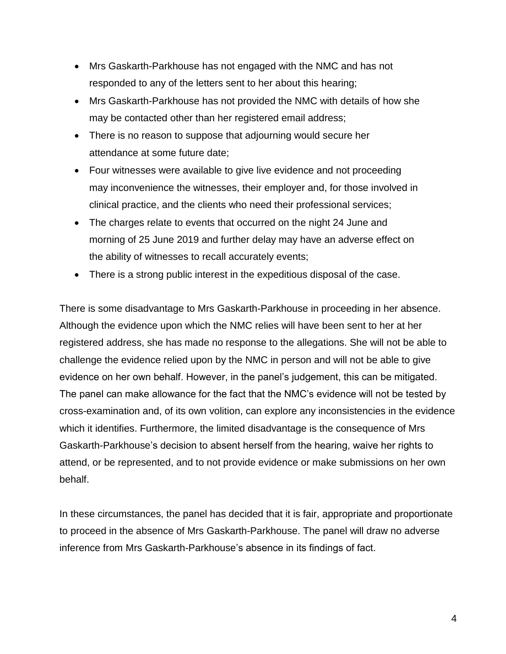- Mrs Gaskarth-Parkhouse has not engaged with the NMC and has not responded to any of the letters sent to her about this hearing;
- Mrs Gaskarth-Parkhouse has not provided the NMC with details of how she may be contacted other than her registered email address;
- There is no reason to suppose that adjourning would secure her attendance at some future date;
- Four witnesses were available to give live evidence and not proceeding may inconvenience the witnesses, their employer and, for those involved in clinical practice, and the clients who need their professional services;
- The charges relate to events that occurred on the night 24 June and morning of 25 June 2019 and further delay may have an adverse effect on the ability of witnesses to recall accurately events;
- There is a strong public interest in the expeditious disposal of the case.

There is some disadvantage to Mrs Gaskarth-Parkhouse in proceeding in her absence. Although the evidence upon which the NMC relies will have been sent to her at her registered address, she has made no response to the allegations. She will not be able to challenge the evidence relied upon by the NMC in person and will not be able to give evidence on her own behalf. However, in the panel's judgement, this can be mitigated. The panel can make allowance for the fact that the NMC's evidence will not be tested by cross-examination and, of its own volition, can explore any inconsistencies in the evidence which it identifies. Furthermore, the limited disadvantage is the consequence of Mrs Gaskarth-Parkhouse's decision to absent herself from the hearing, waive her rights to attend, or be represented, and to not provide evidence or make submissions on her own behalf.

In these circumstances, the panel has decided that it is fair, appropriate and proportionate to proceed in the absence of Mrs Gaskarth-Parkhouse. The panel will draw no adverse inference from Mrs Gaskarth-Parkhouse's absence in its findings of fact.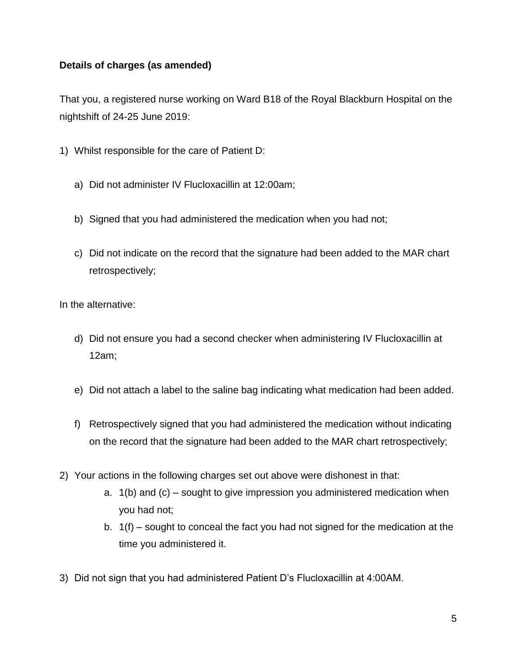### **Details of charges (as amended)**

That you, a registered nurse working on Ward B18 of the Royal Blackburn Hospital on the nightshift of 24-25 June 2019:

- 1) Whilst responsible for the care of Patient D:
	- a) Did not administer IV Flucloxacillin at 12:00am;
	- b) Signed that you had administered the medication when you had not;
	- c) Did not indicate on the record that the signature had been added to the MAR chart retrospectively;

In the alternative:

- d) Did not ensure you had a second checker when administering IV Flucloxacillin at 12am;
- e) Did not attach a label to the saline bag indicating what medication had been added.
- f) Retrospectively signed that you had administered the medication without indicating on the record that the signature had been added to the MAR chart retrospectively;
- 2) Your actions in the following charges set out above were dishonest in that:
	- a. 1(b) and (c) sought to give impression you administered medication when you had not;
	- b. 1(f) sought to conceal the fact you had not signed for the medication at the time you administered it.
- 3) Did not sign that you had administered Patient D's Flucloxacillin at 4:00AM.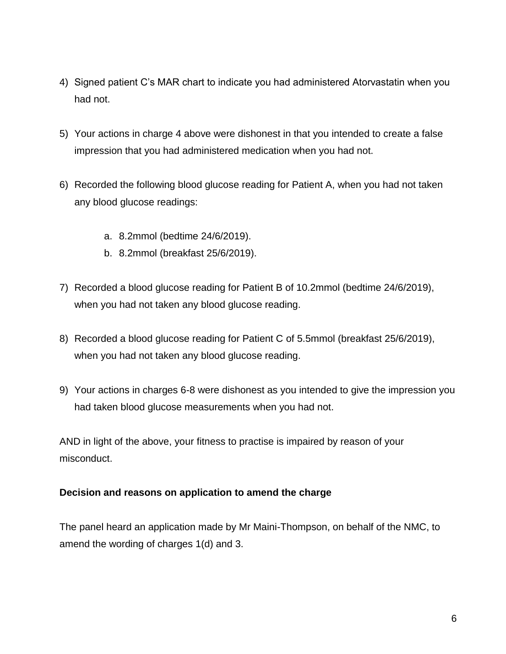- 4) Signed patient C's MAR chart to indicate you had administered Atorvastatin when you had not.
- 5) Your actions in charge 4 above were dishonest in that you intended to create a false impression that you had administered medication when you had not.
- 6) Recorded the following blood glucose reading for Patient A, when you had not taken any blood glucose readings:
	- a. 8.2mmol (bedtime 24/6/2019).
	- b. 8.2mmol (breakfast 25/6/2019).
- 7) Recorded a blood glucose reading for Patient B of 10.2mmol (bedtime 24/6/2019), when you had not taken any blood glucose reading.
- 8) Recorded a blood glucose reading for Patient C of 5.5mmol (breakfast 25/6/2019), when you had not taken any blood glucose reading.
- 9) Your actions in charges 6-8 were dishonest as you intended to give the impression you had taken blood glucose measurements when you had not.

AND in light of the above, your fitness to practise is impaired by reason of your misconduct.

#### **Decision and reasons on application to amend the charge**

The panel heard an application made by Mr Maini-Thompson, on behalf of the NMC, to amend the wording of charges 1(d) and 3.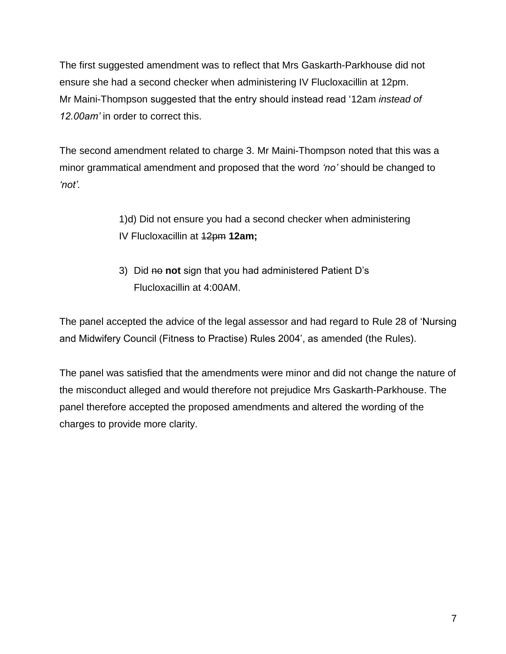The first suggested amendment was to reflect that Mrs Gaskarth-Parkhouse did not ensure she had a second checker when administering IV Flucloxacillin at 12pm. Mr Maini-Thompson suggested that the entry should instead read '12am *instead of 12.00am'* in order to correct this.

The second amendment related to charge 3. Mr Maini-Thompson noted that this was a minor grammatical amendment and proposed that the word *'no'* should be changed to *'not'.*

> 1)d) Did not ensure you had a second checker when administering IV Flucloxacillin at 12pm **12am;**

3) Did no **not** sign that you had administered Patient D's Flucloxacillin at 4:00AM.

The panel accepted the advice of the legal assessor and had regard to Rule 28 of 'Nursing and Midwifery Council (Fitness to Practise) Rules 2004', as amended (the Rules).

The panel was satisfied that the amendments were minor and did not change the nature of the misconduct alleged and would therefore not prejudice Mrs Gaskarth-Parkhouse. The panel therefore accepted the proposed amendments and altered the wording of the charges to provide more clarity.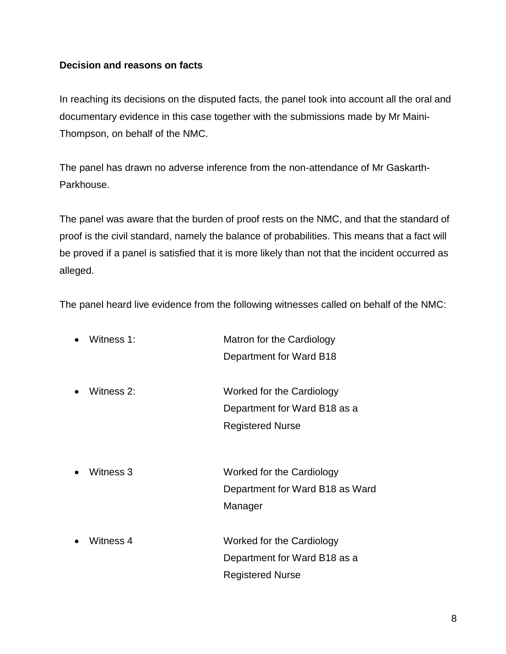#### **Decision and reasons on facts**

In reaching its decisions on the disputed facts, the panel took into account all the oral and documentary evidence in this case together with the submissions made by Mr Maini-Thompson, on behalf of the NMC.

The panel has drawn no adverse inference from the non-attendance of Mr Gaskarth-Parkhouse.

The panel was aware that the burden of proof rests on the NMC, and that the standard of proof is the civil standard, namely the balance of probabilities. This means that a fact will be proved if a panel is satisfied that it is more likely than not that the incident occurred as alleged.

The panel heard live evidence from the following witnesses called on behalf of the NMC:

| Witness 1: | Matron for the Cardiology       |
|------------|---------------------------------|
|            | Department for Ward B18         |
| Witness 2: | Worked for the Cardiology       |
|            | Department for Ward B18 as a    |
|            | <b>Registered Nurse</b>         |
| Witness 3  | Worked for the Cardiology       |
|            |                                 |
|            | Department for Ward B18 as Ward |
|            | Manager                         |
| Witness 4  | Worked for the Cardiology       |
|            | Department for Ward B18 as a    |
|            | <b>Registered Nurse</b>         |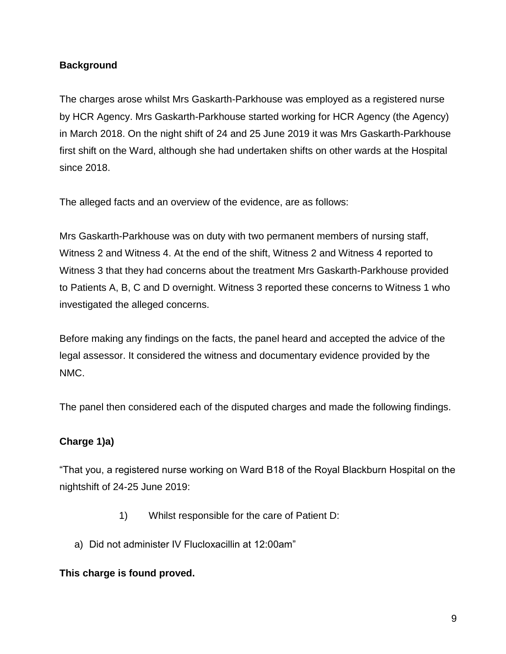### **Background**

The charges arose whilst Mrs Gaskarth-Parkhouse was employed as a registered nurse by HCR Agency. Mrs Gaskarth-Parkhouse started working for HCR Agency (the Agency) in March 2018. On the night shift of 24 and 25 June 2019 it was Mrs Gaskarth-Parkhouse first shift on the Ward, although she had undertaken shifts on other wards at the Hospital since 2018.

The alleged facts and an overview of the evidence, are as follows:

Mrs Gaskarth-Parkhouse was on duty with two permanent members of nursing staff, Witness 2 and Witness 4. At the end of the shift, Witness 2 and Witness 4 reported to Witness 3 that they had concerns about the treatment Mrs Gaskarth-Parkhouse provided to Patients A, B, C and D overnight. Witness 3 reported these concerns to Witness 1 who investigated the alleged concerns.

Before making any findings on the facts, the panel heard and accepted the advice of the legal assessor. It considered the witness and documentary evidence provided by the NMC.

The panel then considered each of the disputed charges and made the following findings.

## **Charge 1)a)**

"That you, a registered nurse working on Ward B18 of the Royal Blackburn Hospital on the nightshift of 24-25 June 2019:

- 1) Whilst responsible for the care of Patient D:
- a) Did not administer IV Flucloxacillin at 12:00am"

#### **This charge is found proved.**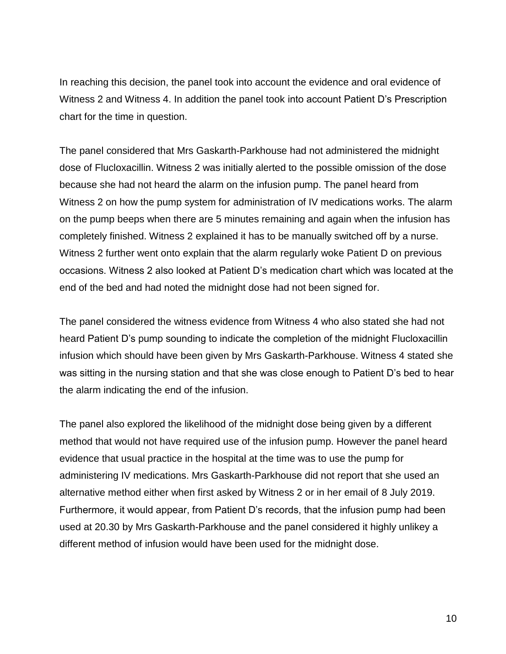In reaching this decision, the panel took into account the evidence and oral evidence of Witness 2 and Witness 4. In addition the panel took into account Patient D's Prescription chart for the time in question.

The panel considered that Mrs Gaskarth-Parkhouse had not administered the midnight dose of Flucloxacillin. Witness 2 was initially alerted to the possible omission of the dose because she had not heard the alarm on the infusion pump. The panel heard from Witness 2 on how the pump system for administration of IV medications works. The alarm on the pump beeps when there are 5 minutes remaining and again when the infusion has completely finished. Witness 2 explained it has to be manually switched off by a nurse. Witness 2 further went onto explain that the alarm regularly woke Patient D on previous occasions. Witness 2 also looked at Patient D's medication chart which was located at the end of the bed and had noted the midnight dose had not been signed for.

The panel considered the witness evidence from Witness 4 who also stated she had not heard Patient D's pump sounding to indicate the completion of the midnight Flucloxacillin infusion which should have been given by Mrs Gaskarth-Parkhouse. Witness 4 stated she was sitting in the nursing station and that she was close enough to Patient D's bed to hear the alarm indicating the end of the infusion.

The panel also explored the likelihood of the midnight dose being given by a different method that would not have required use of the infusion pump. However the panel heard evidence that usual practice in the hospital at the time was to use the pump for administering IV medications. Mrs Gaskarth-Parkhouse did not report that she used an alternative method either when first asked by Witness 2 or in her email of 8 July 2019. Furthermore, it would appear, from Patient D's records, that the infusion pump had been used at 20.30 by Mrs Gaskarth-Parkhouse and the panel considered it highly unlikey a different method of infusion would have been used for the midnight dose.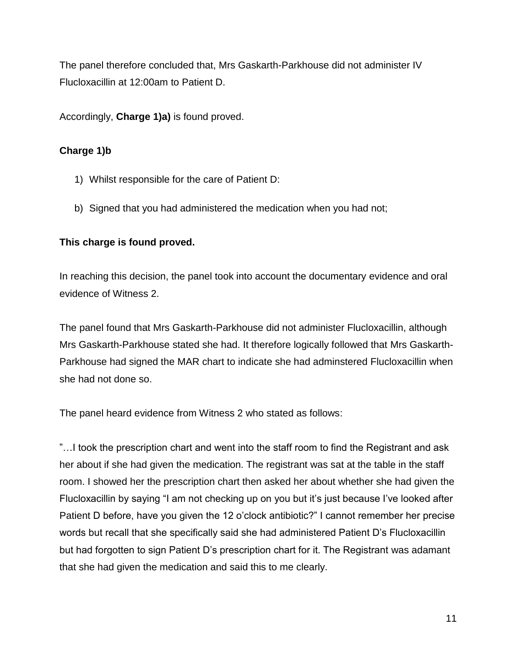The panel therefore concluded that, Mrs Gaskarth-Parkhouse did not administer IV Flucloxacillin at 12:00am to Patient D.

Accordingly, **Charge 1)a)** is found proved.

## **Charge 1)b**

- 1) Whilst responsible for the care of Patient D:
- b) Signed that you had administered the medication when you had not;

### **This charge is found proved.**

In reaching this decision, the panel took into account the documentary evidence and oral evidence of Witness 2.

The panel found that Mrs Gaskarth-Parkhouse did not administer Flucloxacillin, although Mrs Gaskarth-Parkhouse stated she had. It therefore logically followed that Mrs Gaskarth-Parkhouse had signed the MAR chart to indicate she had adminstered Flucloxacillin when she had not done so.

The panel heard evidence from Witness 2 who stated as follows:

"…I took the prescription chart and went into the staff room to find the Registrant and ask her about if she had given the medication. The registrant was sat at the table in the staff room. I showed her the prescription chart then asked her about whether she had given the Flucloxacillin by saying "I am not checking up on you but it's just because I've looked after Patient D before, have you given the 12 o'clock antibiotic?" I cannot remember her precise words but recall that she specifically said she had administered Patient D's Flucloxacillin but had forgotten to sign Patient D's prescription chart for it. The Registrant was adamant that she had given the medication and said this to me clearly.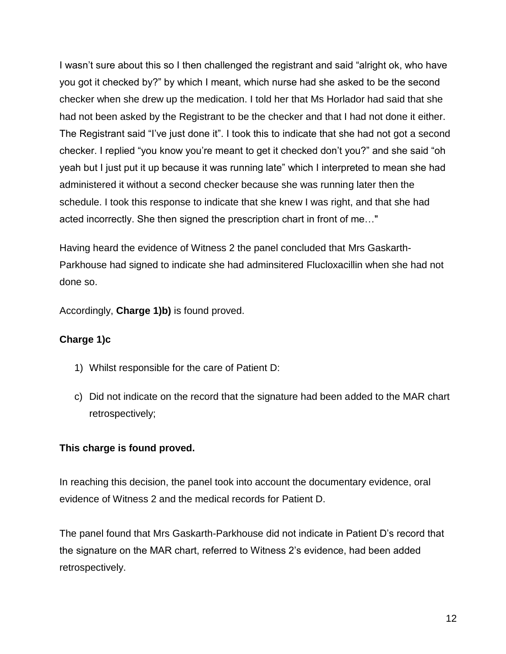I wasn't sure about this so I then challenged the registrant and said "alright ok, who have you got it checked by?" by which I meant, which nurse had she asked to be the second checker when she drew up the medication. I told her that Ms Horlador had said that she had not been asked by the Registrant to be the checker and that I had not done it either. The Registrant said "I've just done it". I took this to indicate that she had not got a second checker. I replied "you know you're meant to get it checked don't you?" and she said "oh yeah but I just put it up because it was running late" which I interpreted to mean she had administered it without a second checker because she was running later then the schedule. I took this response to indicate that she knew I was right, and that she had acted incorrectly. She then signed the prescription chart in front of me…"

Having heard the evidence of Witness 2 the panel concluded that Mrs Gaskarth-Parkhouse had signed to indicate she had adminsitered Flucloxacillin when she had not done so.

Accordingly, **Charge 1)b)** is found proved.

## **Charge 1)c**

- 1) Whilst responsible for the care of Patient D:
- c) Did not indicate on the record that the signature had been added to the MAR chart retrospectively;

## **This charge is found proved.**

In reaching this decision, the panel took into account the documentary evidence, oral evidence of Witness 2 and the medical records for Patient D.

The panel found that Mrs Gaskarth-Parkhouse did not indicate in Patient D's record that the signature on the MAR chart, referred to Witness 2's evidence, had been added retrospectively.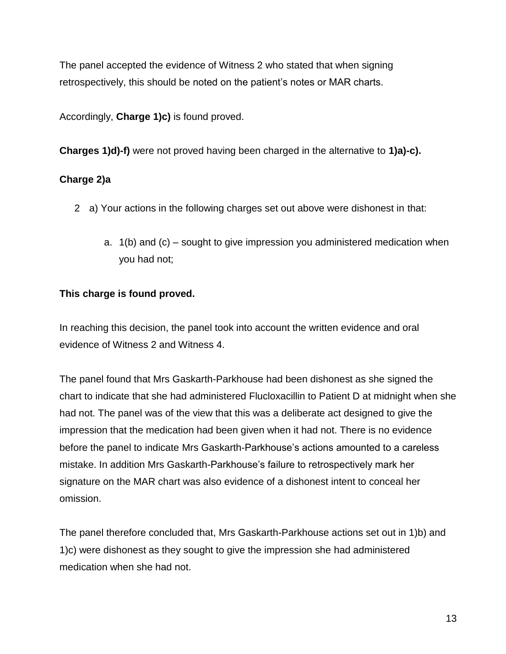The panel accepted the evidence of Witness 2 who stated that when signing retrospectively, this should be noted on the patient's notes or MAR charts.

Accordingly, **Charge 1)c)** is found proved.

**Charges 1)d)-f)** were not proved having been charged in the alternative to **1)a)-c).**

### **Charge 2)a**

- 2 a) Your actions in the following charges set out above were dishonest in that:
	- a. 1(b) and (c) sought to give impression you administered medication when you had not;

## **This charge is found proved.**

In reaching this decision, the panel took into account the written evidence and oral evidence of Witness 2 and Witness 4.

The panel found that Mrs Gaskarth-Parkhouse had been dishonest as she signed the chart to indicate that she had administered Flucloxacillin to Patient D at midnight when she had not. The panel was of the view that this was a deliberate act designed to give the impression that the medication had been given when it had not. There is no evidence before the panel to indicate Mrs Gaskarth-Parkhouse's actions amounted to a careless mistake. In addition Mrs Gaskarth-Parkhouse's failure to retrospectively mark her signature on the MAR chart was also evidence of a dishonest intent to conceal her omission.

The panel therefore concluded that, Mrs Gaskarth-Parkhouse actions set out in 1)b) and 1)c) were dishonest as they sought to give the impression she had administered medication when she had not.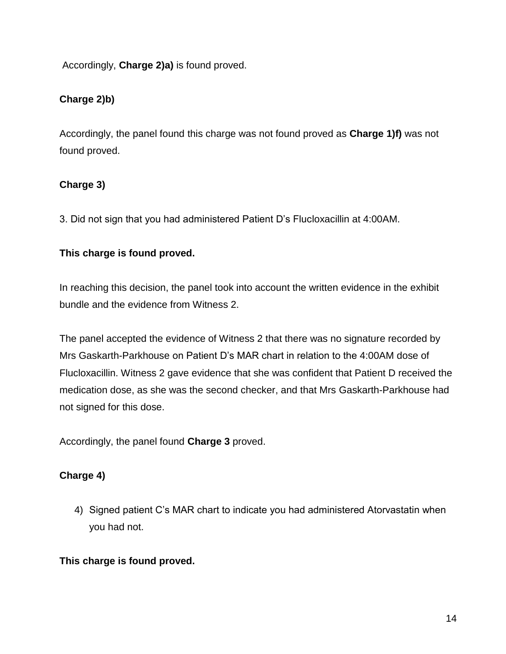Accordingly, **Charge 2)a)** is found proved.

## **Charge 2)b)**

Accordingly, the panel found this charge was not found proved as **Charge 1)f)** was not found proved.

### **Charge 3)**

3. Did not sign that you had administered Patient D's Flucloxacillin at 4:00AM.

### **This charge is found proved.**

In reaching this decision, the panel took into account the written evidence in the exhibit bundle and the evidence from Witness 2.

The panel accepted the evidence of Witness 2 that there was no signature recorded by Mrs Gaskarth-Parkhouse on Patient D's MAR chart in relation to the 4:00AM dose of Flucloxacillin. Witness 2 gave evidence that she was confident that Patient D received the medication dose, as she was the second checker, and that Mrs Gaskarth-Parkhouse had not signed for this dose.

Accordingly, the panel found **Charge 3** proved.

## **Charge 4)**

4) Signed patient C's MAR chart to indicate you had administered Atorvastatin when you had not.

## **This charge is found proved.**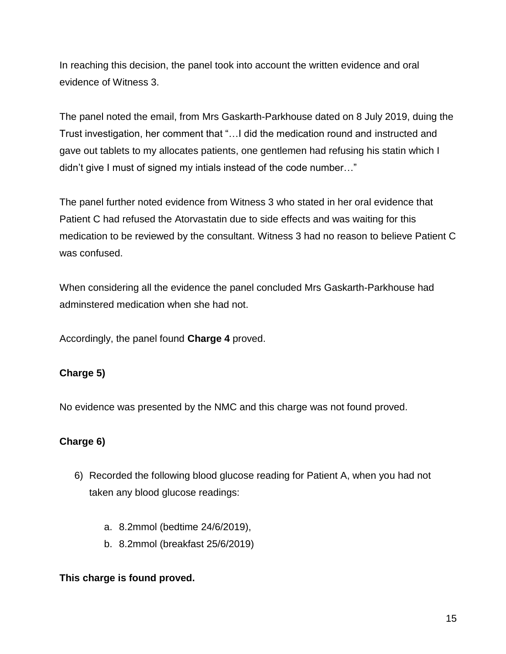In reaching this decision, the panel took into account the written evidence and oral evidence of Witness 3.

The panel noted the email, from Mrs Gaskarth-Parkhouse dated on 8 July 2019, duing the Trust investigation, her comment that "…I did the medication round and instructed and gave out tablets to my allocates patients, one gentlemen had refusing his statin which I didn't give I must of signed my intials instead of the code number…"

The panel further noted evidence from Witness 3 who stated in her oral evidence that Patient C had refused the Atorvastatin due to side effects and was waiting for this medication to be reviewed by the consultant. Witness 3 had no reason to believe Patient C was confused.

When considering all the evidence the panel concluded Mrs Gaskarth-Parkhouse had adminstered medication when she had not.

Accordingly, the panel found **Charge 4** proved.

## **Charge 5)**

No evidence was presented by the NMC and this charge was not found proved.

## **Charge 6)**

- 6) Recorded the following blood glucose reading for Patient A, when you had not taken any blood glucose readings:
	- a. 8.2mmol (bedtime 24/6/2019),
	- b. 8.2mmol (breakfast 25/6/2019)

#### **This charge is found proved.**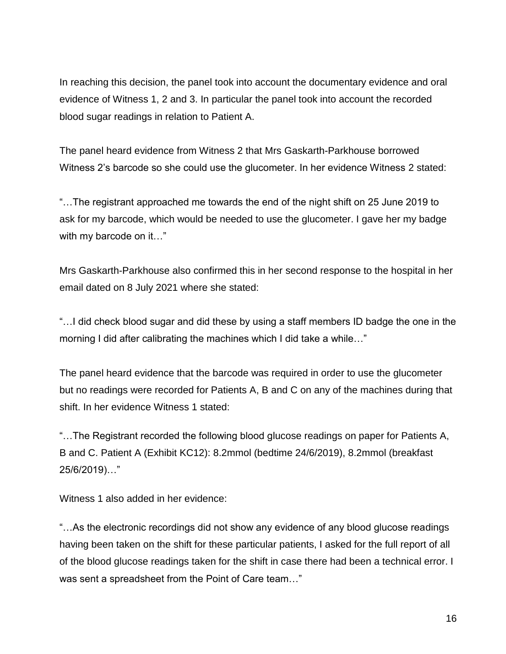In reaching this decision, the panel took into account the documentary evidence and oral evidence of Witness 1, 2 and 3. In particular the panel took into account the recorded blood sugar readings in relation to Patient A.

The panel heard evidence from Witness 2 that Mrs Gaskarth-Parkhouse borrowed Witness 2's barcode so she could use the glucometer. In her evidence Witness 2 stated:

"…The registrant approached me towards the end of the night shift on 25 June 2019 to ask for my barcode, which would be needed to use the glucometer. I gave her my badge with my barcode on it..."

Mrs Gaskarth-Parkhouse also confirmed this in her second response to the hospital in her email dated on 8 July 2021 where she stated:

"…I did check blood sugar and did these by using a staff members ID badge the one in the morning I did after calibrating the machines which I did take a while…"

The panel heard evidence that the barcode was required in order to use the glucometer but no readings were recorded for Patients A, B and C on any of the machines during that shift. In her evidence Witness 1 stated:

"…The Registrant recorded the following blood glucose readings on paper for Patients A, B and C. Patient A (Exhibit KC12): 8.2mmol (bedtime 24/6/2019), 8.2mmol (breakfast 25/6/2019)…"

Witness 1 also added in her evidence:

"…As the electronic recordings did not show any evidence of any blood glucose readings having been taken on the shift for these particular patients, I asked for the full report of all of the blood glucose readings taken for the shift in case there had been a technical error. I was sent a spreadsheet from the Point of Care team…"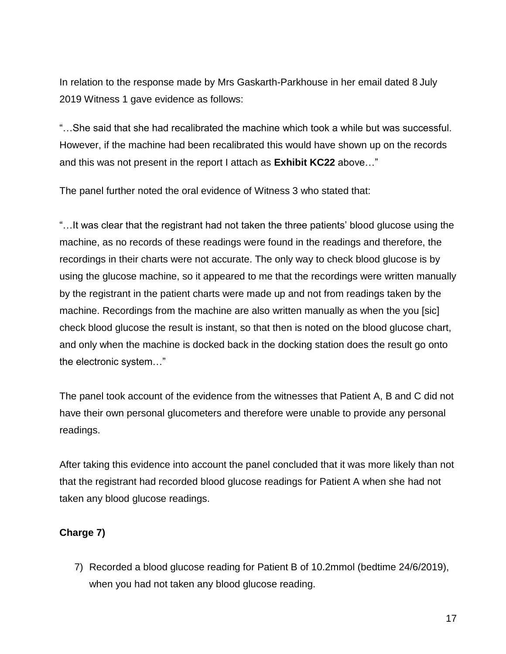In relation to the response made by Mrs Gaskarth-Parkhouse in her email dated 8 July 2019 Witness 1 gave evidence as follows:

"…She said that she had recalibrated the machine which took a while but was successful. However, if the machine had been recalibrated this would have shown up on the records and this was not present in the report I attach as **Exhibit KC22** above…"

The panel further noted the oral evidence of Witness 3 who stated that:

"…It was clear that the registrant had not taken the three patients' blood glucose using the machine, as no records of these readings were found in the readings and therefore, the recordings in their charts were not accurate. The only way to check blood glucose is by using the glucose machine, so it appeared to me that the recordings were written manually by the registrant in the patient charts were made up and not from readings taken by the machine. Recordings from the machine are also written manually as when the you [sic] check blood glucose the result is instant, so that then is noted on the blood glucose chart, and only when the machine is docked back in the docking station does the result go onto the electronic system…"

The panel took account of the evidence from the witnesses that Patient A, B and C did not have their own personal glucometers and therefore were unable to provide any personal readings.

After taking this evidence into account the panel concluded that it was more likely than not that the registrant had recorded blood glucose readings for Patient A when she had not taken any blood glucose readings.

#### **Charge 7)**

7) Recorded a blood glucose reading for Patient B of 10.2mmol (bedtime 24/6/2019), when you had not taken any blood glucose reading.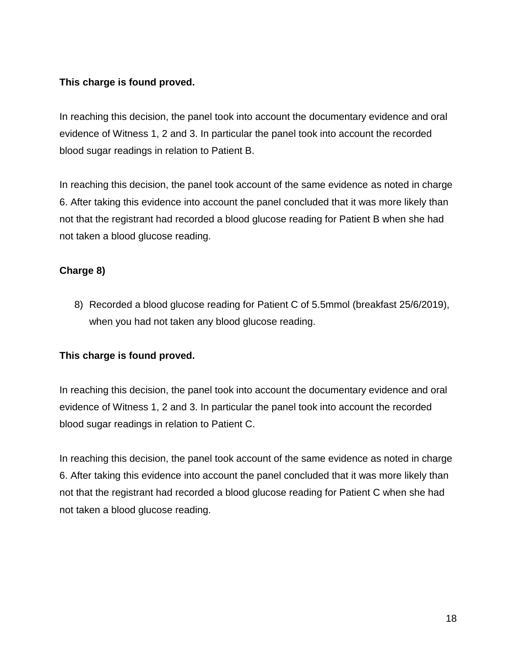### **This charge is found proved.**

In reaching this decision, the panel took into account the documentary evidence and oral evidence of Witness 1, 2 and 3. In particular the panel took into account the recorded blood sugar readings in relation to Patient B.

In reaching this decision, the panel took account of the same evidence as noted in charge 6. After taking this evidence into account the panel concluded that it was more likely than not that the registrant had recorded a blood glucose reading for Patient B when she had not taken a blood glucose reading.

## **Charge 8)**

8) Recorded a blood glucose reading for Patient C of 5.5mmol (breakfast 25/6/2019), when you had not taken any blood glucose reading.

#### **This charge is found proved.**

In reaching this decision, the panel took into account the documentary evidence and oral evidence of Witness 1, 2 and 3. In particular the panel took into account the recorded blood sugar readings in relation to Patient C.

In reaching this decision, the panel took account of the same evidence as noted in charge 6. After taking this evidence into account the panel concluded that it was more likely than not that the registrant had recorded a blood glucose reading for Patient C when she had not taken a blood glucose reading.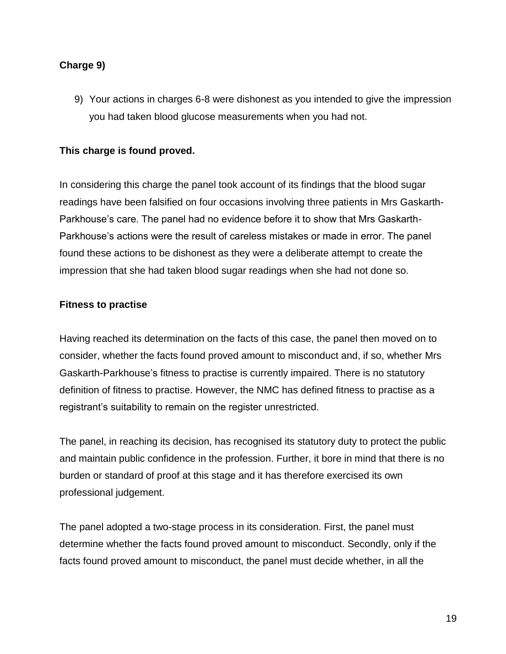### **Charge 9)**

9) Your actions in charges 6-8 were dishonest as you intended to give the impression you had taken blood glucose measurements when you had not.

### **This charge is found proved.**

In considering this charge the panel took account of its findings that the blood sugar readings have been falsified on four occasions involving three patients in Mrs Gaskarth-Parkhouse's care. The panel had no evidence before it to show that Mrs Gaskarth-Parkhouse's actions were the result of careless mistakes or made in error. The panel found these actions to be dishonest as they were a deliberate attempt to create the impression that she had taken blood sugar readings when she had not done so.

#### **Fitness to practise**

Having reached its determination on the facts of this case, the panel then moved on to consider, whether the facts found proved amount to misconduct and, if so, whether Mrs Gaskarth-Parkhouse's fitness to practise is currently impaired. There is no statutory definition of fitness to practise. However, the NMC has defined fitness to practise as a registrant's suitability to remain on the register unrestricted.

The panel, in reaching its decision, has recognised its statutory duty to protect the public and maintain public confidence in the profession. Further, it bore in mind that there is no burden or standard of proof at this stage and it has therefore exercised its own professional judgement.

The panel adopted a two-stage process in its consideration. First, the panel must determine whether the facts found proved amount to misconduct. Secondly, only if the facts found proved amount to misconduct, the panel must decide whether, in all the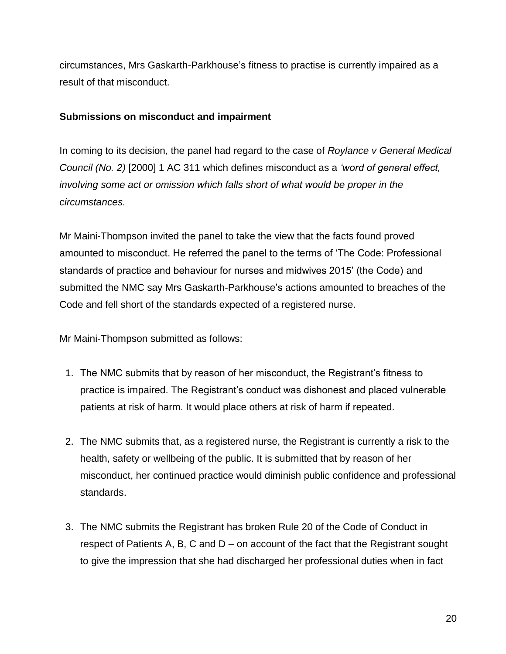circumstances, Mrs Gaskarth-Parkhouse's fitness to practise is currently impaired as a result of that misconduct.

#### **Submissions on misconduct and impairment**

In coming to its decision, the panel had regard to the case of *Roylance v General Medical Council (No. 2)* [2000] 1 AC 311 which defines misconduct as a *'word of general effect, involving some act or omission which falls short of what would be proper in the circumstances.*

Mr Maini-Thompson invited the panel to take the view that the facts found proved amounted to misconduct. He referred the panel to the terms of 'The Code: Professional standards of practice and behaviour for nurses and midwives 2015' (the Code) and submitted the NMC say Mrs Gaskarth-Parkhouse's actions amounted to breaches of the Code and fell short of the standards expected of a registered nurse.

Mr Maini-Thompson submitted as follows:

- 1. The NMC submits that by reason of her misconduct, the Registrant's fitness to practice is impaired. The Registrant's conduct was dishonest and placed vulnerable patients at risk of harm. It would place others at risk of harm if repeated.
- 2. The NMC submits that, as a registered nurse, the Registrant is currently a risk to the health, safety or wellbeing of the public. It is submitted that by reason of her misconduct, her continued practice would diminish public confidence and professional standards.
- 3. The NMC submits the Registrant has broken Rule 20 of the Code of Conduct in respect of Patients A, B, C and D – on account of the fact that the Registrant sought to give the impression that she had discharged her professional duties when in fact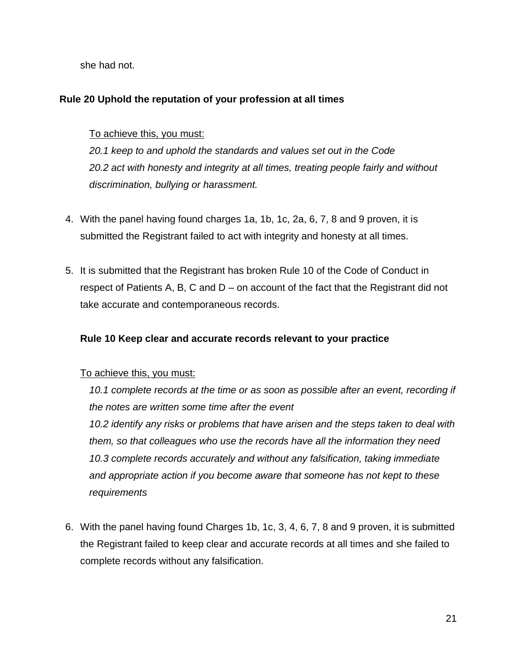she had not.

### **Rule 20 Uphold the reputation of your profession at all times**

#### To achieve this, you must:

*20.1 keep to and uphold the standards and values set out in the Code 20.2 act with honesty and integrity at all times, treating people fairly and without discrimination, bullying or harassment.*

- 4. With the panel having found charges 1a, 1b, 1c, 2a, 6, 7, 8 and 9 proven, it is submitted the Registrant failed to act with integrity and honesty at all times.
- 5. It is submitted that the Registrant has broken Rule 10 of the Code of Conduct in respect of Patients A, B, C and D – on account of the fact that the Registrant did not take accurate and contemporaneous records.

#### **Rule 10 Keep clear and accurate records relevant to your practice**

#### To achieve this, you must:

10.1 complete records at the time or as soon as possible after an event, recording if *the notes are written some time after the event*

*10.2 identify any risks or problems that have arisen and the steps taken to deal with them, so that colleagues who use the records have all the information they need 10.3 complete records accurately and without any falsification, taking immediate and appropriate action if you become aware that someone has not kept to these requirements*

6. With the panel having found Charges 1b, 1c, 3, 4, 6, 7, 8 and 9 proven, it is submitted the Registrant failed to keep clear and accurate records at all times and she failed to complete records without any falsification.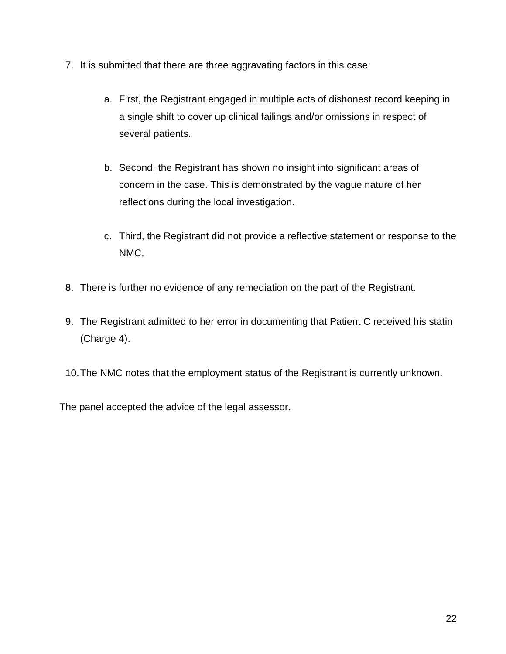- 7. It is submitted that there are three aggravating factors in this case:
	- a. First, the Registrant engaged in multiple acts of dishonest record keeping in a single shift to cover up clinical failings and/or omissions in respect of several patients.
	- b. Second, the Registrant has shown no insight into significant areas of concern in the case. This is demonstrated by the vague nature of her reflections during the local investigation.
	- c. Third, the Registrant did not provide a reflective statement or response to the NMC.
- 8. There is further no evidence of any remediation on the part of the Registrant.
- 9. The Registrant admitted to her error in documenting that Patient C received his statin (Charge 4).
- 10.The NMC notes that the employment status of the Registrant is currently unknown.

The panel accepted the advice of the legal assessor.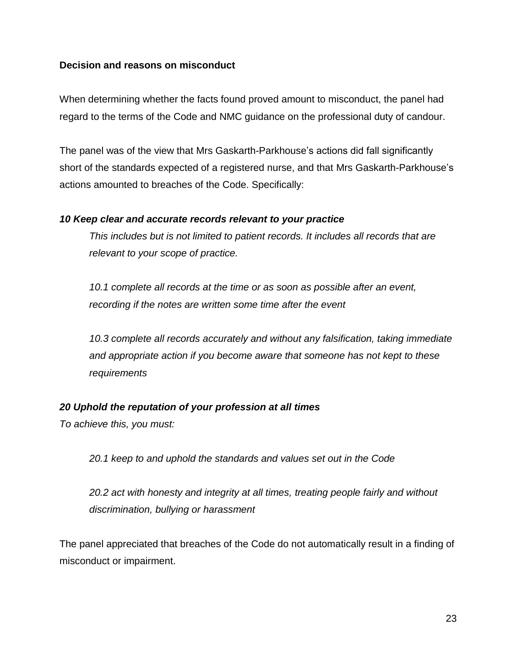#### **Decision and reasons on misconduct**

When determining whether the facts found proved amount to misconduct, the panel had regard to the terms of the Code and NMC guidance on the professional duty of candour.

The panel was of the view that Mrs Gaskarth-Parkhouse's actions did fall significantly short of the standards expected of a registered nurse, and that Mrs Gaskarth-Parkhouse's actions amounted to breaches of the Code. Specifically:

#### *10 Keep clear and accurate records relevant to your practice*

*This includes but is not limited to patient records. It includes all records that are relevant to your scope of practice.* 

*10.1 complete all records at the time or as soon as possible after an event, recording if the notes are written some time after the event*

*10.3 complete all records accurately and without any falsification, taking immediate and appropriate action if you become aware that someone has not kept to these requirements*

#### *20 Uphold the reputation of your profession at all times*

*To achieve this, you must:*

*20.1 keep to and uphold the standards and values set out in the Code*

*20.2 act with honesty and integrity at all times, treating people fairly and without discrimination, bullying or harassment*

The panel appreciated that breaches of the Code do not automatically result in a finding of misconduct or impairment.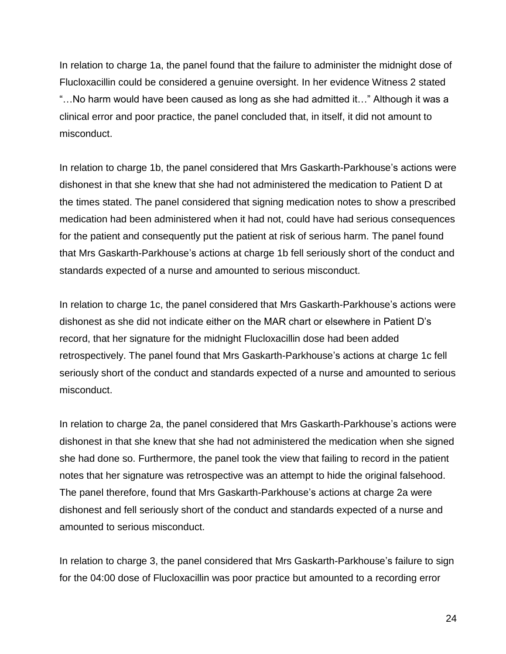In relation to charge 1a, the panel found that the failure to administer the midnight dose of Flucloxacillin could be considered a genuine oversight. In her evidence Witness 2 stated "…No harm would have been caused as long as she had admitted it…" Although it was a clinical error and poor practice, the panel concluded that, in itself, it did not amount to misconduct.

In relation to charge 1b, the panel considered that Mrs Gaskarth-Parkhouse's actions were dishonest in that she knew that she had not administered the medication to Patient D at the times stated. The panel considered that signing medication notes to show a prescribed medication had been administered when it had not, could have had serious consequences for the patient and consequently put the patient at risk of serious harm. The panel found that Mrs Gaskarth-Parkhouse's actions at charge 1b fell seriously short of the conduct and standards expected of a nurse and amounted to serious misconduct.

In relation to charge 1c, the panel considered that Mrs Gaskarth-Parkhouse's actions were dishonest as she did not indicate either on the MAR chart or elsewhere in Patient D's record, that her signature for the midnight Flucloxacillin dose had been added retrospectively. The panel found that Mrs Gaskarth-Parkhouse's actions at charge 1c fell seriously short of the conduct and standards expected of a nurse and amounted to serious misconduct.

In relation to charge 2a, the panel considered that Mrs Gaskarth-Parkhouse's actions were dishonest in that she knew that she had not administered the medication when she signed she had done so. Furthermore, the panel took the view that failing to record in the patient notes that her signature was retrospective was an attempt to hide the original falsehood. The panel therefore, found that Mrs Gaskarth-Parkhouse's actions at charge 2a were dishonest and fell seriously short of the conduct and standards expected of a nurse and amounted to serious misconduct.

In relation to charge 3, the panel considered that Mrs Gaskarth-Parkhouse's failure to sign for the 04:00 dose of Flucloxacillin was poor practice but amounted to a recording error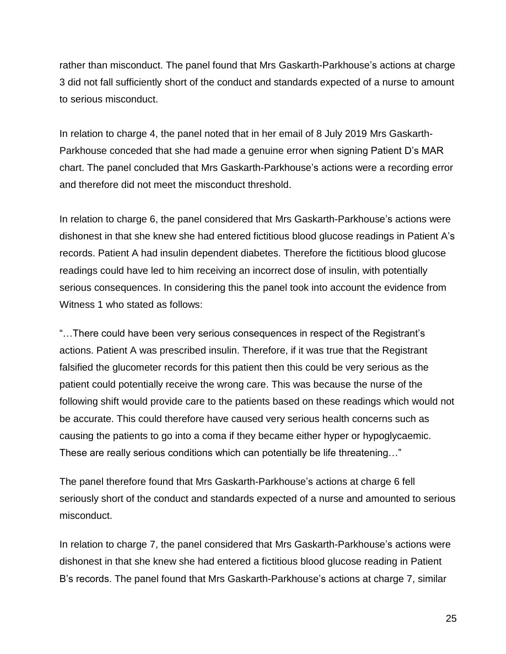rather than misconduct. The panel found that Mrs Gaskarth-Parkhouse's actions at charge 3 did not fall sufficiently short of the conduct and standards expected of a nurse to amount to serious misconduct.

In relation to charge 4, the panel noted that in her email of 8 July 2019 Mrs Gaskarth-Parkhouse conceded that she had made a genuine error when signing Patient D's MAR chart. The panel concluded that Mrs Gaskarth-Parkhouse's actions were a recording error and therefore did not meet the misconduct threshold.

In relation to charge 6, the panel considered that Mrs Gaskarth-Parkhouse's actions were dishonest in that she knew she had entered fictitious blood glucose readings in Patient A's records. Patient A had insulin dependent diabetes. Therefore the fictitious blood glucose readings could have led to him receiving an incorrect dose of insulin, with potentially serious consequences. In considering this the panel took into account the evidence from Witness 1 who stated as follows:

"…There could have been very serious consequences in respect of the Registrant's actions. Patient A was prescribed insulin. Therefore, if it was true that the Registrant falsified the glucometer records for this patient then this could be very serious as the patient could potentially receive the wrong care. This was because the nurse of the following shift would provide care to the patients based on these readings which would not be accurate. This could therefore have caused very serious health concerns such as causing the patients to go into a coma if they became either hyper or hypoglycaemic. These are really serious conditions which can potentially be life threatening…"

The panel therefore found that Mrs Gaskarth-Parkhouse's actions at charge 6 fell seriously short of the conduct and standards expected of a nurse and amounted to serious misconduct.

In relation to charge 7, the panel considered that Mrs Gaskarth-Parkhouse's actions were dishonest in that she knew she had entered a fictitious blood glucose reading in Patient B's records. The panel found that Mrs Gaskarth-Parkhouse's actions at charge 7, similar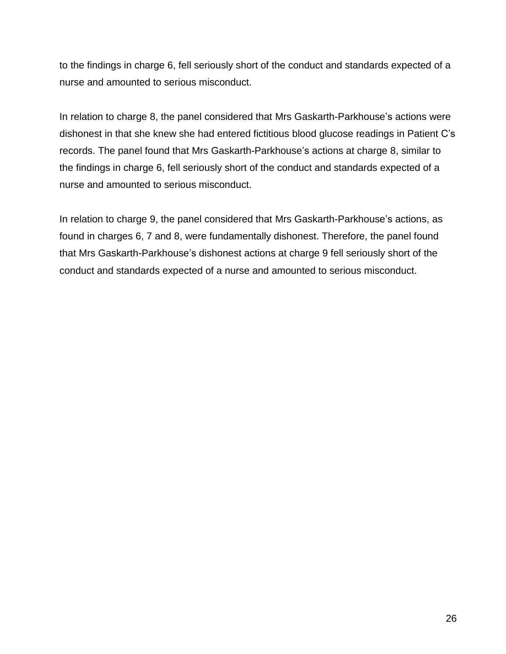to the findings in charge 6, fell seriously short of the conduct and standards expected of a nurse and amounted to serious misconduct.

In relation to charge 8, the panel considered that Mrs Gaskarth-Parkhouse's actions were dishonest in that she knew she had entered fictitious blood glucose readings in Patient C's records. The panel found that Mrs Gaskarth-Parkhouse's actions at charge 8, similar to the findings in charge 6, fell seriously short of the conduct and standards expected of a nurse and amounted to serious misconduct.

In relation to charge 9, the panel considered that Mrs Gaskarth-Parkhouse's actions, as found in charges 6, 7 and 8, were fundamentally dishonest. Therefore, the panel found that Mrs Gaskarth-Parkhouse's dishonest actions at charge 9 fell seriously short of the conduct and standards expected of a nurse and amounted to serious misconduct.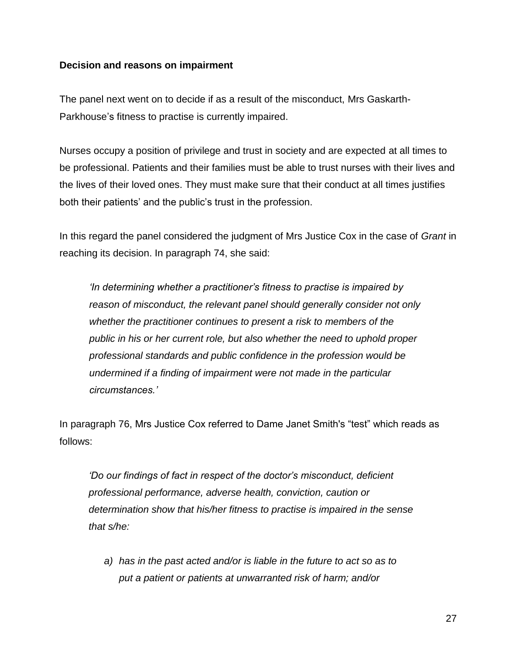#### **Decision and reasons on impairment**

The panel next went on to decide if as a result of the misconduct, Mrs Gaskarth-Parkhouse's fitness to practise is currently impaired.

Nurses occupy a position of privilege and trust in society and are expected at all times to be professional. Patients and their families must be able to trust nurses with their lives and the lives of their loved ones. They must make sure that their conduct at all times justifies both their patients' and the public's trust in the profession.

In this regard the panel considered the judgment of Mrs Justice Cox in the case of *Grant* in reaching its decision. In paragraph 74, she said:

*'In determining whether a practitioner's fitness to practise is impaired by reason of misconduct, the relevant panel should generally consider not only whether the practitioner continues to present a risk to members of the public in his or her current role, but also whether the need to uphold proper professional standards and public confidence in the profession would be undermined if a finding of impairment were not made in the particular circumstances.'*

In paragraph 76, Mrs Justice Cox referred to Dame Janet Smith's "test" which reads as follows:

*'Do our findings of fact in respect of the doctor's misconduct, deficient professional performance, adverse health, conviction, caution or determination show that his/her fitness to practise is impaired in the sense that s/he:*

*a) has in the past acted and/or is liable in the future to act so as to put a patient or patients at unwarranted risk of harm; and/or*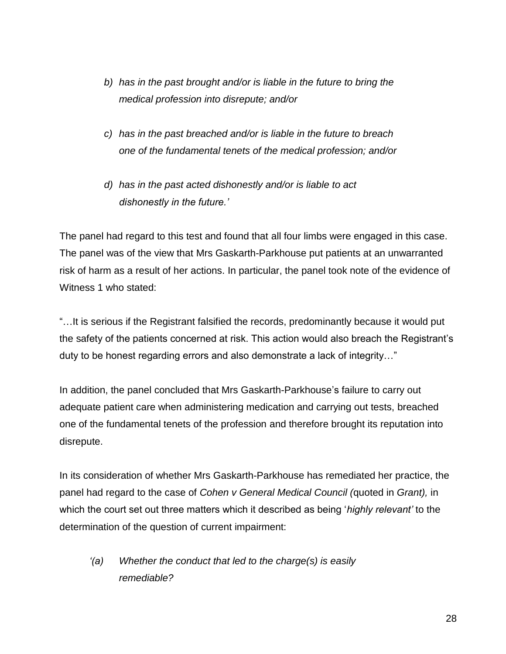- *b) has in the past brought and/or is liable in the future to bring the medical profession into disrepute; and/or*
- *c) has in the past breached and/or is liable in the future to breach one of the fundamental tenets of the medical profession; and/or*
- *d) has in the past acted dishonestly and/or is liable to act dishonestly in the future.'*

The panel had regard to this test and found that all four limbs were engaged in this case. The panel was of the view that Mrs Gaskarth-Parkhouse put patients at an unwarranted risk of harm as a result of her actions. In particular, the panel took note of the evidence of Witness 1 who stated:

"…It is serious if the Registrant falsified the records, predominantly because it would put the safety of the patients concerned at risk. This action would also breach the Registrant's duty to be honest regarding errors and also demonstrate a lack of integrity…"

In addition, the panel concluded that Mrs Gaskarth-Parkhouse's failure to carry out adequate patient care when administering medication and carrying out tests, breached one of the fundamental tenets of the profession and therefore brought its reputation into disrepute.

In its consideration of whether Mrs Gaskarth-Parkhouse has remediated her practice, the panel had regard to the case of *Cohen v General Medical Council (*quoted in *Grant),* in which the court set out three matters which it described as being '*highly relevant'* to the determination of the question of current impairment:

*'(a) Whether the conduct that led to the charge(s) is easily remediable?*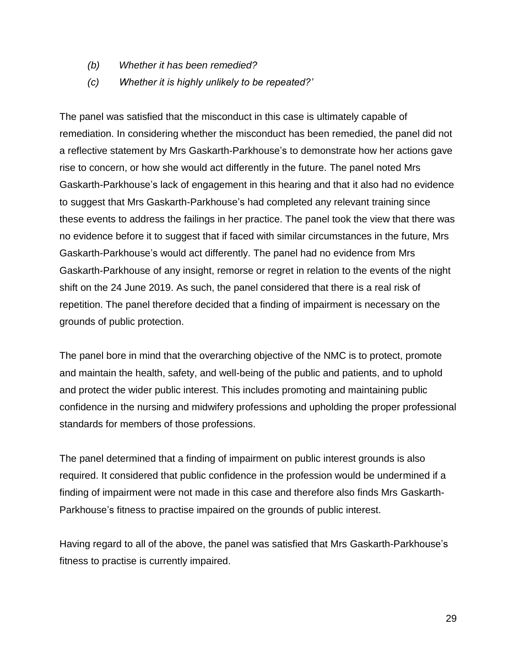- *(b) Whether it has been remedied?*
- *(c) Whether it is highly unlikely to be repeated?'*

The panel was satisfied that the misconduct in this case is ultimately capable of remediation. In considering whether the misconduct has been remedied, the panel did not a reflective statement by Mrs Gaskarth-Parkhouse's to demonstrate how her actions gave rise to concern, or how she would act differently in the future. The panel noted Mrs Gaskarth-Parkhouse's lack of engagement in this hearing and that it also had no evidence to suggest that Mrs Gaskarth-Parkhouse's had completed any relevant training since these events to address the failings in her practice. The panel took the view that there was no evidence before it to suggest that if faced with similar circumstances in the future, Mrs Gaskarth-Parkhouse's would act differently. The panel had no evidence from Mrs Gaskarth-Parkhouse of any insight, remorse or regret in relation to the events of the night shift on the 24 June 2019. As such, the panel considered that there is a real risk of repetition. The panel therefore decided that a finding of impairment is necessary on the grounds of public protection.

The panel bore in mind that the overarching objective of the NMC is to protect, promote and maintain the health, safety, and well-being of the public and patients, and to uphold and protect the wider public interest. This includes promoting and maintaining public confidence in the nursing and midwifery professions and upholding the proper professional standards for members of those professions.

The panel determined that a finding of impairment on public interest grounds is also required. It considered that public confidence in the profession would be undermined if a finding of impairment were not made in this case and therefore also finds Mrs Gaskarth-Parkhouse's fitness to practise impaired on the grounds of public interest.

Having regard to all of the above, the panel was satisfied that Mrs Gaskarth-Parkhouse's fitness to practise is currently impaired.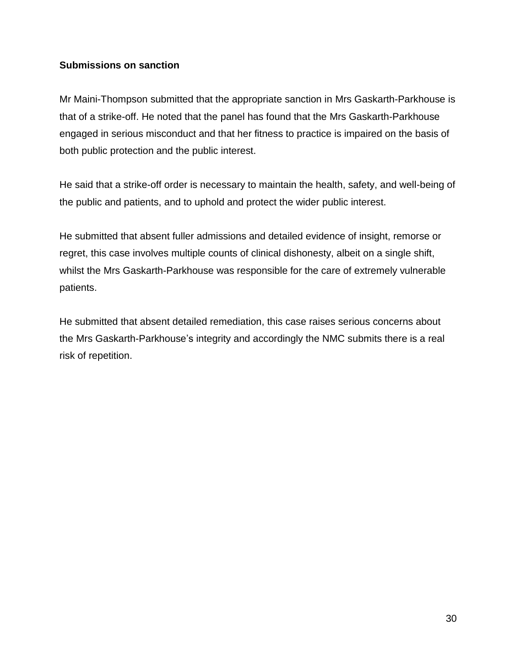#### **Submissions on sanction**

Mr Maini-Thompson submitted that the appropriate sanction in Mrs Gaskarth-Parkhouse is that of a strike-off. He noted that the panel has found that the Mrs Gaskarth-Parkhouse engaged in serious misconduct and that her fitness to practice is impaired on the basis of both public protection and the public interest.

He said that a strike-off order is necessary to maintain the health, safety, and well-being of the public and patients, and to uphold and protect the wider public interest.

He submitted that absent fuller admissions and detailed evidence of insight, remorse or regret, this case involves multiple counts of clinical dishonesty, albeit on a single shift, whilst the Mrs Gaskarth-Parkhouse was responsible for the care of extremely vulnerable patients.

He submitted that absent detailed remediation, this case raises serious concerns about the Mrs Gaskarth-Parkhouse's integrity and accordingly the NMC submits there is a real risk of repetition.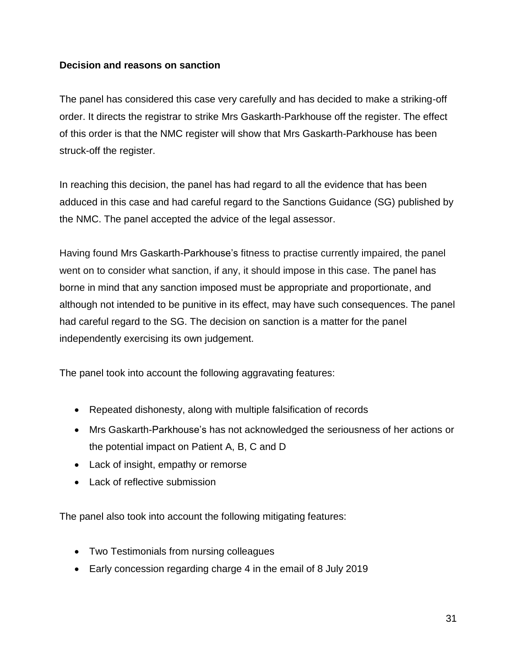#### **Decision and reasons on sanction**

The panel has considered this case very carefully and has decided to make a striking-off order. It directs the registrar to strike Mrs Gaskarth-Parkhouse off the register. The effect of this order is that the NMC register will show that Mrs Gaskarth-Parkhouse has been struck-off the register.

In reaching this decision, the panel has had regard to all the evidence that has been adduced in this case and had careful regard to the Sanctions Guidance (SG) published by the NMC. The panel accepted the advice of the legal assessor.

Having found Mrs Gaskarth-Parkhouse's fitness to practise currently impaired, the panel went on to consider what sanction, if any, it should impose in this case. The panel has borne in mind that any sanction imposed must be appropriate and proportionate, and although not intended to be punitive in its effect, may have such consequences. The panel had careful regard to the SG. The decision on sanction is a matter for the panel independently exercising its own judgement.

The panel took into account the following aggravating features:

- Repeated dishonesty, along with multiple falsification of records
- Mrs Gaskarth-Parkhouse's has not acknowledged the seriousness of her actions or the potential impact on Patient A, B, C and D
- Lack of insight, empathy or remorse
- Lack of reflective submission

The panel also took into account the following mitigating features:

- Two Testimonials from nursing colleagues
- Early concession regarding charge 4 in the email of 8 July 2019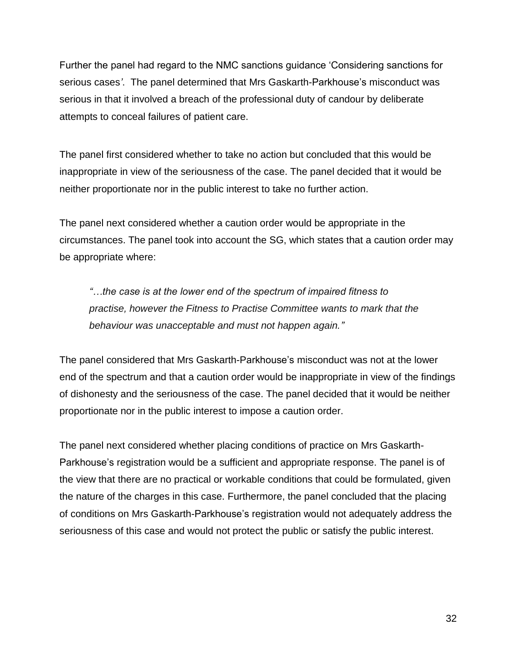Further the panel had regard to the NMC sanctions guidance 'Considering sanctions for serious cases*'*. The panel determined that Mrs Gaskarth-Parkhouse's misconduct was serious in that it involved a breach of the professional duty of candour by deliberate attempts to conceal failures of patient care.

The panel first considered whether to take no action but concluded that this would be inappropriate in view of the seriousness of the case. The panel decided that it would be neither proportionate nor in the public interest to take no further action.

The panel next considered whether a caution order would be appropriate in the circumstances. The panel took into account the SG, which states that a caution order may be appropriate where:

*"…the case is at the lower end of the spectrum of impaired fitness to practise, however the Fitness to Practise Committee wants to mark that the behaviour was unacceptable and must not happen again."*

The panel considered that Mrs Gaskarth-Parkhouse's misconduct was not at the lower end of the spectrum and that a caution order would be inappropriate in view of the findings of dishonesty and the seriousness of the case. The panel decided that it would be neither proportionate nor in the public interest to impose a caution order.

The panel next considered whether placing conditions of practice on Mrs Gaskarth-Parkhouse's registration would be a sufficient and appropriate response. The panel is of the view that there are no practical or workable conditions that could be formulated, given the nature of the charges in this case. Furthermore, the panel concluded that the placing of conditions on Mrs Gaskarth-Parkhouse's registration would not adequately address the seriousness of this case and would not protect the public or satisfy the public interest.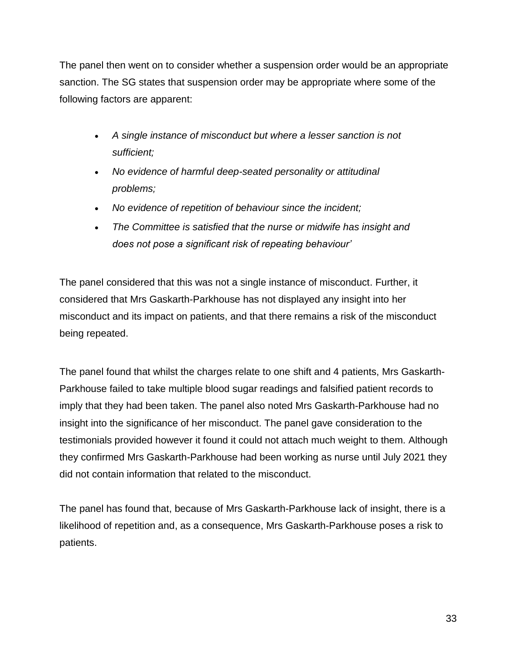The panel then went on to consider whether a suspension order would be an appropriate sanction. The SG states that suspension order may be appropriate where some of the following factors are apparent:

- *A single instance of misconduct but where a lesser sanction is not sufficient;*
- *No evidence of harmful deep-seated personality or attitudinal problems;*
- *No evidence of repetition of behaviour since the incident;*
- *The Committee is satisfied that the nurse or midwife has insight and does not pose a significant risk of repeating behaviour'*

The panel considered that this was not a single instance of misconduct. Further, it considered that Mrs Gaskarth-Parkhouse has not displayed any insight into her misconduct and its impact on patients, and that there remains a risk of the misconduct being repeated.

The panel found that whilst the charges relate to one shift and 4 patients, Mrs Gaskarth-Parkhouse failed to take multiple blood sugar readings and falsified patient records to imply that they had been taken. The panel also noted Mrs Gaskarth-Parkhouse had no insight into the significance of her misconduct. The panel gave consideration to the testimonials provided however it found it could not attach much weight to them. Although they confirmed Mrs Gaskarth-Parkhouse had been working as nurse until July 2021 they did not contain information that related to the misconduct.

The panel has found that, because of Mrs Gaskarth-Parkhouse lack of insight, there is a likelihood of repetition and, as a consequence, Mrs Gaskarth-Parkhouse poses a risk to patients.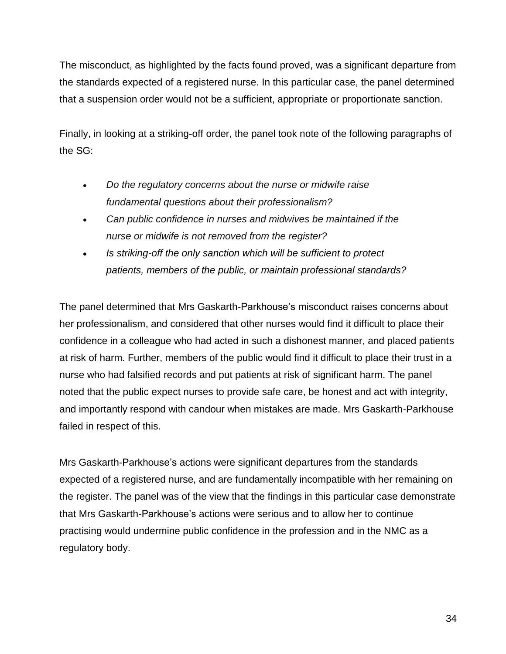The misconduct, as highlighted by the facts found proved, was a significant departure from the standards expected of a registered nurse. In this particular case, the panel determined that a suspension order would not be a sufficient, appropriate or proportionate sanction.

Finally, in looking at a striking-off order, the panel took note of the following paragraphs of the SG:

- *Do the regulatory concerns about the nurse or midwife raise fundamental questions about their professionalism?*
- *Can public confidence in nurses and midwives be maintained if the nurse or midwife is not removed from the register?*
- *Is striking-off the only sanction which will be sufficient to protect patients, members of the public, or maintain professional standards?*

The panel determined that Mrs Gaskarth-Parkhouse's misconduct raises concerns about her professionalism, and considered that other nurses would find it difficult to place their confidence in a colleague who had acted in such a dishonest manner, and placed patients at risk of harm. Further, members of the public would find it difficult to place their trust in a nurse who had falsified records and put patients at risk of significant harm. The panel noted that the public expect nurses to provide safe care, be honest and act with integrity, and importantly respond with candour when mistakes are made. Mrs Gaskarth-Parkhouse failed in respect of this.

Mrs Gaskarth-Parkhouse's actions were significant departures from the standards expected of a registered nurse, and are fundamentally incompatible with her remaining on the register. The panel was of the view that the findings in this particular case demonstrate that Mrs Gaskarth-Parkhouse's actions were serious and to allow her to continue practising would undermine public confidence in the profession and in the NMC as a regulatory body.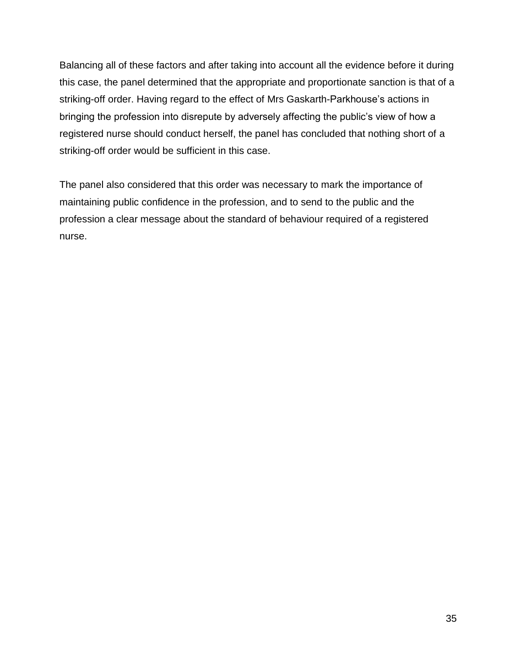Balancing all of these factors and after taking into account all the evidence before it during this case, the panel determined that the appropriate and proportionate sanction is that of a striking-off order. Having regard to the effect of Mrs Gaskarth-Parkhouse's actions in bringing the profession into disrepute by adversely affecting the public's view of how a registered nurse should conduct herself, the panel has concluded that nothing short of a striking-off order would be sufficient in this case.

The panel also considered that this order was necessary to mark the importance of maintaining public confidence in the profession, and to send to the public and the profession a clear message about the standard of behaviour required of a registered nurse.